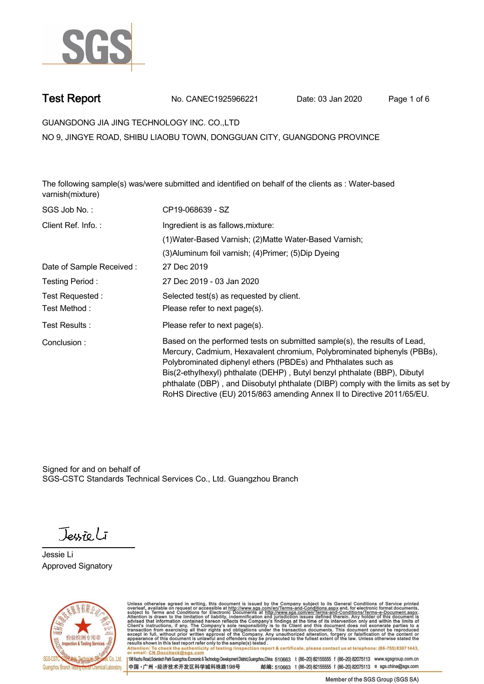

**Test Report. No. CANEC1925966221** Date: 03 Jan 2020 Page 1 of 6

**GUANGDONG JIA JING TECHNOLOGY INC. CO.,LTD .**

**NO 9, JINGYE ROAD, SHIBU LIAOBU TOWN, DONGGUAN CITY, GUANGDONG PROVINCE**

**The following sample(s) was/were submitted and identified on behalf of the clients as : Water-based varnish(mixture).**

| SGS Job No.:             | CP19-068639 - SZ                                                                                                                                                                                                                                                                                                                                                                                                                                                   |
|--------------------------|--------------------------------------------------------------------------------------------------------------------------------------------------------------------------------------------------------------------------------------------------------------------------------------------------------------------------------------------------------------------------------------------------------------------------------------------------------------------|
| Client Ref. Info.:       | Ingredient is as fallows, mixture:                                                                                                                                                                                                                                                                                                                                                                                                                                 |
|                          | (1) Water-Based Varnish; (2) Matte Water-Based Varnish;                                                                                                                                                                                                                                                                                                                                                                                                            |
|                          | (3) Aluminum foil varnish; (4) Primer; (5) Dip Dyeing                                                                                                                                                                                                                                                                                                                                                                                                              |
| Date of Sample Received: | 27 Dec 2019                                                                                                                                                                                                                                                                                                                                                                                                                                                        |
| Testing Period:          | 27 Dec 2019 - 03 Jan 2020                                                                                                                                                                                                                                                                                                                                                                                                                                          |
| Test Requested:          | Selected test(s) as requested by client.                                                                                                                                                                                                                                                                                                                                                                                                                           |
| Test Method:             | Please refer to next page(s).                                                                                                                                                                                                                                                                                                                                                                                                                                      |
| Test Results:            | Please refer to next page(s).                                                                                                                                                                                                                                                                                                                                                                                                                                      |
| Conclusion:              | Based on the performed tests on submitted sample(s), the results of Lead,<br>Mercury, Cadmium, Hexavalent chromium, Polybrominated biphenyls (PBBs),<br>Polybrominated diphenyl ethers (PBDEs) and Phthalates such as<br>Bis(2-ethylhexyl) phthalate (DEHP), Butyl benzyl phthalate (BBP), Dibutyl<br>phthalate (DBP), and Diisobutyl phthalate (DIBP) comply with the limits as set by<br>RoHS Directive (EU) 2015/863 amending Annex II to Directive 2011/65/EU. |

Signed for and on behalf of SGS-CSTC Standards Technical Services Co., Ltd. Guangzhou Branch.

Jessieli

**Jessie Li. Approved Signatory .**



Unless otherwise agreed in writing, this document is issued by the Company subject to its General Conditions of Service printed overleaf, available on request or accessible at http://www.sgs.com/en/Terms-and-Conditions.asp Attention: To check the authenticity of testing /inspection report & certificate, please contact us at telephone: (86-755) 8307 1443,<br>Attention: To check the authenticity of testing /inspection report & certificate, please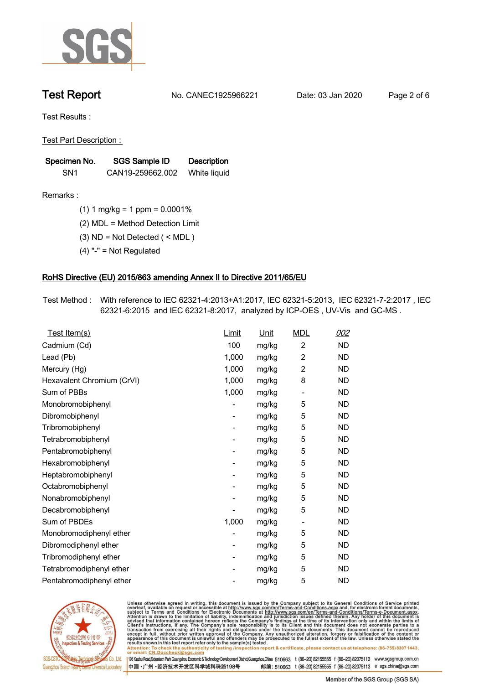

**Test Report. No. CANEC1925966221** Date: 03 Jan 2020 Page 2 of 6

**Test Results :.**

**Test Part Description : .**

| Specimen No.    | SGS Sample ID    | <b>Description</b> |
|-----------------|------------------|--------------------|
| SN <sub>1</sub> | CAN19-259662.002 | White liquid       |

- **Remarks :.(1) 1 mg/kg = 1 ppm = 0.0001% .**
	- **(2) MDL = Method Detection Limit .**
	- **(3) ND = Not Detected ( < MDL ) .**
	- **(4) "-" = Not Regulated .**

## **RoHS Directive (EU) 2015/863 amending Annex II to Directive 2011/65/EU.**

**Test Method :. With reference to IEC 62321-4:2013+A1:2017, IEC 62321-5:2013, IEC 62321-7-2:2017 , IEC 62321-6:2015 and IEC 62321-8:2017, analyzed by ICP-OES , UV-Vis and GC-MS . .**

| Test Item(s)               | Limit                    | <u>Unit</u> | <b>MDL</b>               | 002       |
|----------------------------|--------------------------|-------------|--------------------------|-----------|
| Cadmium (Cd)               | 100                      | mg/kg       | $\overline{2}$           | <b>ND</b> |
| Lead (Pb)                  | 1,000                    | mg/kg       | $\overline{c}$           | <b>ND</b> |
| Mercury (Hg)               | 1,000                    | mg/kg       | 2                        | <b>ND</b> |
| Hexavalent Chromium (CrVI) | 1,000                    | mg/kg       | 8                        | <b>ND</b> |
| Sum of PBBs                | 1,000                    | mg/kg       | $\overline{\phantom{a}}$ | <b>ND</b> |
| Monobromobiphenyl          |                          | mg/kg       | 5                        | <b>ND</b> |
| Dibromobiphenyl            | $\overline{\phantom{0}}$ | mg/kg       | 5                        | <b>ND</b> |
| Tribromobiphenyl           | -                        | mg/kg       | 5                        | <b>ND</b> |
| Tetrabromobiphenyl         |                          | mg/kg       | 5                        | <b>ND</b> |
| Pentabromobiphenyl         | -                        | mg/kg       | 5                        | <b>ND</b> |
| Hexabromobiphenyl          |                          | mg/kg       | 5                        | <b>ND</b> |
| Heptabromobiphenyl         | -                        | mg/kg       | 5                        | <b>ND</b> |
| Octabromobiphenyl          | -                        | mg/kg       | 5                        | <b>ND</b> |
| Nonabromobiphenyl          |                          | mg/kg       | 5                        | <b>ND</b> |
| Decabromobiphenyl          |                          | mg/kg       | 5                        | <b>ND</b> |
| Sum of PBDEs               | 1,000                    | mg/kg       | $\overline{a}$           | <b>ND</b> |
| Monobromodiphenyl ether    |                          | mg/kg       | 5                        | <b>ND</b> |
| Dibromodiphenyl ether      | -                        | mg/kg       | 5                        | <b>ND</b> |
| Tribromodiphenyl ether     | $\overline{\phantom{0}}$ | mg/kg       | 5                        | <b>ND</b> |
| Tetrabromodiphenyl ether   |                          | mg/kg       | 5                        | <b>ND</b> |
| Pentabromodiphenyl ether   |                          | mg/kg       | 5                        | <b>ND</b> |
|                            |                          |             |                          |           |



Unless otherwise agreed in writing, this document is issued by the Company subject to its General Conditions of Service printed<br>overleaf, available on request or accessible at http://www.sgs.com/en/Terms-and-Conditions.asp Attention: To check the authenticity of testing /inspection report & certificate, please contact us at telephone: (86-755) 8307 1443,<br>Attention: To check the authenticity of testing /inspection report & certificate, please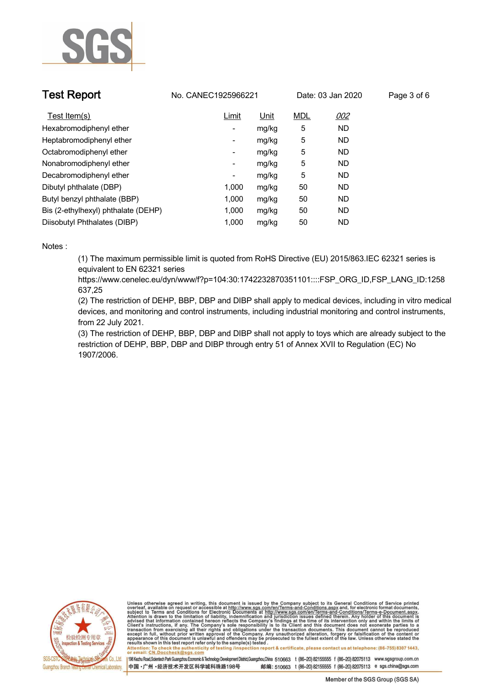

| <b>Test Report</b>                  | No. CANEC1925966221      |       | Date: 03 Jan 2020 |            | Page 3 of 6 |  |
|-------------------------------------|--------------------------|-------|-------------------|------------|-------------|--|
| Test Item(s)                        | Limit                    | Unit  | <b>MDL</b>        | <u>002</u> |             |  |
| Hexabromodiphenyl ether             | $\sim$                   | mg/kg | 5                 | <b>ND</b>  |             |  |
| Heptabromodiphenyl ether            | $\sim$                   | mg/kg | 5                 | ND         |             |  |
| Octabromodiphenyl ether             | ۰                        | mg/kg | 5                 | ND.        |             |  |
| Nonabromodiphenyl ether             | $\overline{\phantom{a}}$ | mg/kg | 5                 | <b>ND</b>  |             |  |
| Decabromodiphenyl ether             | $\overline{\phantom{a}}$ | mg/kg | 5                 | <b>ND</b>  |             |  |
| Dibutyl phthalate (DBP)             | 1,000                    | mg/kg | 50                | ND         |             |  |
| Butyl benzyl phthalate (BBP)        | 1.000                    | mg/kg | 50                | <b>ND</b>  |             |  |
| Bis (2-ethylhexyl) phthalate (DEHP) | 1,000                    | mg/kg | 50                | ND.        |             |  |
| Diisobutyl Phthalates (DIBP)        | 1,000                    | mg/kg | 50                | ND         |             |  |

### **Notes :.**

**(1) The maximum permissible limit is quoted from RoHS Directive (EU) 2015/863.IEC 62321 series is equivalent to EN 62321 series** 

**https://www.cenelec.eu/dyn/www/f?p=104:30:1742232870351101::::FSP\_ORG\_ID,FSP\_LANG\_ID:1258 637,25**

**(2) The restriction of DEHP, BBP, DBP and DIBP shall apply to medical devices, including in vitro medical devices, and monitoring and control instruments, including industrial monitoring and control instruments, from 22 July 2021.**

**(3) The restriction of DEHP, BBP, DBP and DIBP shall not apply to toys which are already subject to the restriction of DEHP, BBP, DBP and DIBP through entry 51 of Annex XVII to Regulation (EC) No 1907/2006..**



Unless otherwise agreed in writing, this document is issued by the Company subject to its General Conditions of Service printed overleaf, available on request or accessible at http://www.sgs.com/en/Terms-and-Conditions.asp resuns shown in this test report refer only to the sample(s) tested .<br>Attention: To check the authenticity of testing /inspection report & certificate, please contact us at telephone: (86-755) 8307 1443,<br>or email: <u>CN.Docc</u>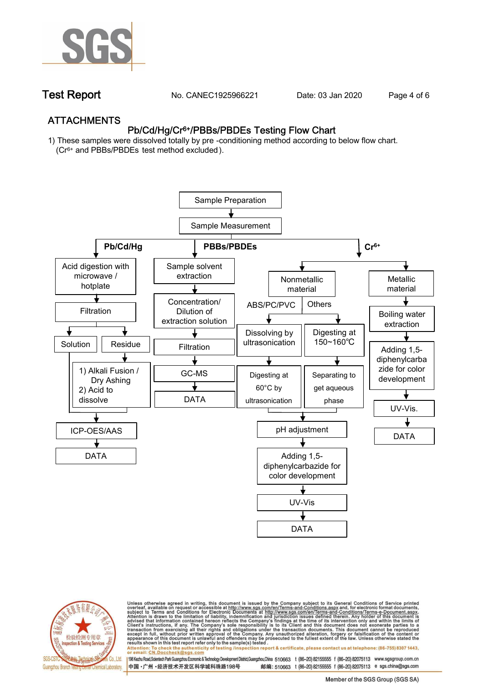

**Test Report. No. CANEC1925966221** Date: 03 Jan 2020 Page 4 of 6

## **ATTACHMENTS Pb/Cd/Hg/Cr6+/PBBs/PBDEs Testing Flow Chart**

**1) These samples were dissolved totally by pre -conditioning method according to below flow chart. (Cr6+ and PBBs/PBDEs test method excluded ).**





Unless otherwise agreed in writing, this document is issued by the Company subject to its General Conditions of Service printed<br>overleaf, available on request or accessible at http://www.sgs.com/en/Terms-and-Conditions.asp résults shown in this test report refer only to the sample(s) tésted .<br>Attention: To check the authenticity of testing /inspection report & certificate, please contact us at telephone: (86-755) 8307 1443,<br>or email: <u>CN.Doc</u>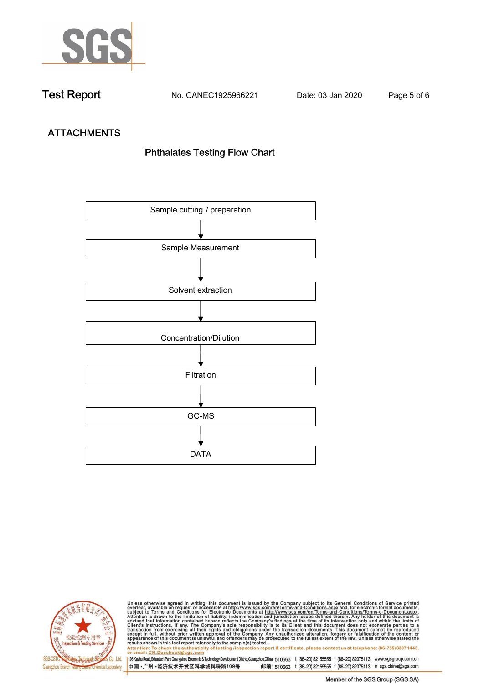

**Test Report. No. CANEC1925966221** Date: 03 Jan 2020 Page 5 of 6

# **ATTACHMENTS Phthalates Testing Flow Chart**





Unless otherwise agreed in writing, this document is issued by the Company subject to its General Conditions of Service printed<br>overleaf, available on request or accessible at http://www.sgs.com/en/Terms-and-Conditions.asp results shown in this test report refer only to the sample(s) tested .<br>Attention: To check the authenticity of testing /inspection report & certificate, please contact us at telephone: (86-755) 8307 1443,<br>or email: <u>CN.Doc</u>